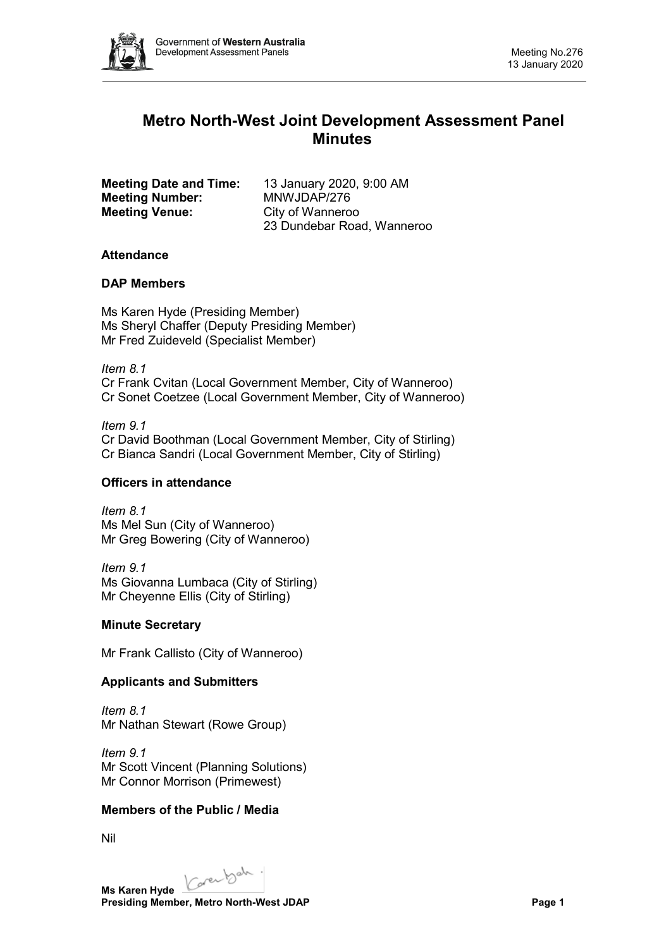

# **Metro North-West Joint Development Assessment Panel Minutes**

| <b>Meeting Date and Time:</b> |
|-------------------------------|
| <b>Meeting Number:</b>        |
| <b>Meeting Venue:</b>         |

**Meeting Date and Time:** 13 January 2020, 9:00 AM **Meeting Number:** MNWJDAP/276 **City of Wanneroo** 23 Dundebar Road, Wanneroo

## **Attendance**

## **DAP Members**

Ms Karen Hyde (Presiding Member) Ms Sheryl Chaffer (Deputy Presiding Member) Mr Fred Zuideveld (Specialist Member)

*Item 8.1* Cr Frank Cvitan (Local Government Member, City of Wanneroo) Cr Sonet Coetzee (Local Government Member, City of Wanneroo)

*Item 9.1* Cr David Boothman (Local Government Member, City of Stirling) Cr Bianca Sandri (Local Government Member, City of Stirling)

## **Officers in attendance**

*Item 8.1* Ms Mel Sun (City of Wanneroo) Mr Greg Bowering (City of Wanneroo)

*Item 9.1* Ms Giovanna Lumbaca (City of Stirling) Mr Cheyenne Ellis (City of Stirling)

## **Minute Secretary**

Mr Frank Callisto (City of Wanneroo)

## **Applicants and Submitters**

*Item 8.1* Mr Nathan Stewart (Rowe Group)

*Item 9.1* Mr Scott Vincent (Planning Solutions) Mr Connor Morrison (Primewest)

## **Members of the Public / Media**

Nil

Karenbah. **Ms Karen Hyde**

**Presiding Member, Metro North-West JDAP Page 1**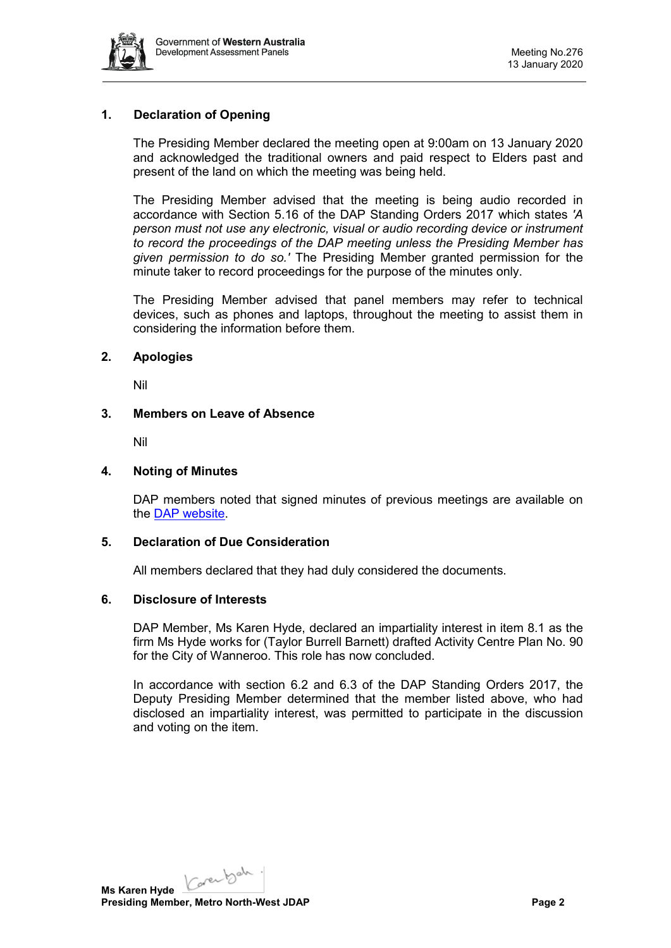

## **1. Declaration of Opening**

The Presiding Member declared the meeting open at 9:00am on 13 January 2020 and acknowledged the traditional owners and paid respect to Elders past and present of the land on which the meeting was being held.

The Presiding Member advised that the meeting is being audio recorded in accordance with Section 5.16 of the DAP Standing Orders 2017 which states *'A person must not use any electronic, visual or audio recording device or instrument to record the proceedings of the DAP meeting unless the Presiding Member has given permission to do so.'* The Presiding Member granted permission for the minute taker to record proceedings for the purpose of the minutes only.

The Presiding Member advised that panel members may refer to technical devices, such as phones and laptops, throughout the meeting to assist them in considering the information before them.

## **2. Apologies**

Nil

## **3. Members on Leave of Absence**

Nil

## **4. Noting of Minutes**

DAP members noted that signed minutes of previous meetings are available on the [DAP website.](https://www.dplh.wa.gov.au/about/development-assessment-panels/daps-agendas-and-minutes)

#### **5. Declaration of Due Consideration**

All members declared that they had duly considered the documents.

### **6. Disclosure of Interests**

DAP Member, Ms Karen Hyde, declared an impartiality interest in item 8.1 as the firm Ms Hyde works for (Taylor Burrell Barnett) drafted Activity Centre Plan No. 90 for the City of Wanneroo. This role has now concluded.

In accordance with section 6.2 and 6.3 of the DAP Standing Orders 2017, the Deputy Presiding Member determined that the member listed above, who had disclosed an impartiality interest, was permitted to participate in the discussion and voting on the item.

Karenbah. **Ms Karen Hyde Presiding Member, Metro North-West JDAP Page 2**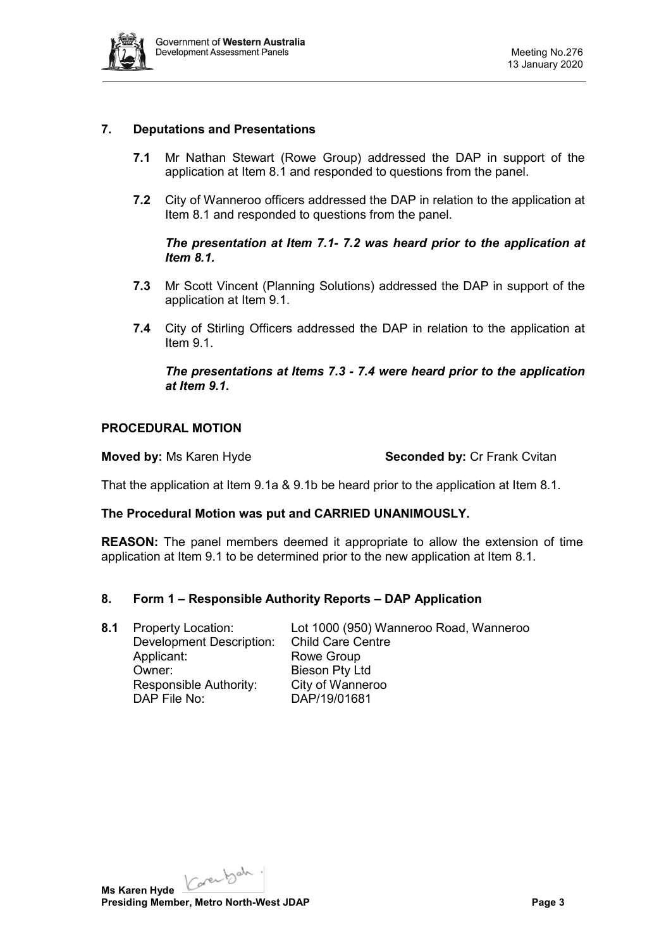

## **7. Deputations and Presentations**

- **7.1** Mr Nathan Stewart (Rowe Group) addressed the DAP in support of the application at Item 8.1 and responded to questions from the panel.
- **7.2** City of Wanneroo officers addressed the DAP in relation to the application at Item 8.1 and responded to questions from the panel.

*The presentation at Item 7.1- 7.2 was heard prior to the application at Item 8.1.* 

- **7.3** Mr Scott Vincent (Planning Solutions) addressed the DAP in support of the application at Item 9.1.
- **7.4** City of Stirling Officers addressed the DAP in relation to the application at Item 9.1.

*The presentations at Items 7.3 - 7.4 were heard prior to the application at Item 9.1.*

### **PROCEDURAL MOTION**

**Moved by: Ms Karen Hyde <b>Seconded by:** Cr Frank Cvitan

That the application at Item 9.1a & 9.1b be heard prior to the application at Item 8.1.

#### **The Procedural Motion was put and CARRIED UNANIMOUSLY.**

**REASON:** The panel members deemed it appropriate to allow the extension of time application at Item 9.1 to be determined prior to the new application at Item 8.1.

#### **8. Form 1 – Responsible Authority Reports – DAP Application**

**8.1** Property Location: Lot 1000 (950) Wanneroo Road, Wanneroo Development Description: Child Care Centre Applicant: Rowe Group Owner: Bieson Pty Ltd Responsible Authority: City of Wanneroo DAP File No: DAP/19/01681

Karenbah. **Ms Karen Hyde Presiding Member, Metro North-West JDAP Page 3**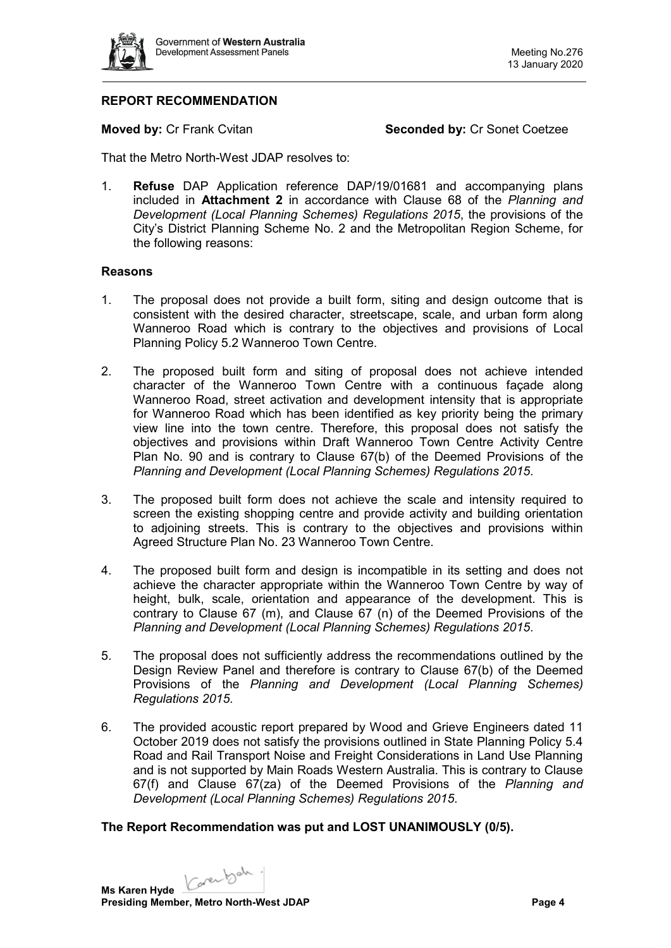

## **REPORT RECOMMENDATION**

**Moved by: Cr Frank Cvitan <b>Seconded by:** Cr Sonet Coetzee

That the Metro North-West JDAP resolves to:

1. **Refuse** DAP Application reference DAP/19/01681 and accompanying plans included in **Attachment 2** in accordance with Clause 68 of the *Planning and Development (Local Planning Schemes) Regulations 2015*, the provisions of the City's District Planning Scheme No. 2 and the Metropolitan Region Scheme, for the following reasons:

## **Reasons**

- 1. The proposal does not provide a built form, siting and design outcome that is consistent with the desired character, streetscape, scale, and urban form along Wanneroo Road which is contrary to the objectives and provisions of Local Planning Policy 5.2 Wanneroo Town Centre.
- 2. The proposed built form and siting of proposal does not achieve intended character of the Wanneroo Town Centre with a continuous façade along Wanneroo Road, street activation and development intensity that is appropriate for Wanneroo Road which has been identified as key priority being the primary view line into the town centre. Therefore, this proposal does not satisfy the objectives and provisions within Draft Wanneroo Town Centre Activity Centre Plan No. 90 and is contrary to Clause 67(b) of the Deemed Provisions of the *Planning and Development (Local Planning Schemes) Regulations 2015*.
- 3. The proposed built form does not achieve the scale and intensity required to screen the existing shopping centre and provide activity and building orientation to adjoining streets. This is contrary to the objectives and provisions within Agreed Structure Plan No. 23 Wanneroo Town Centre.
- 4. The proposed built form and design is incompatible in its setting and does not achieve the character appropriate within the Wanneroo Town Centre by way of height, bulk, scale, orientation and appearance of the development. This is contrary to Clause 67 (m), and Clause 67 (n) of the Deemed Provisions of the *Planning and Development (Local Planning Schemes) Regulations 2015*.
- 5. The proposal does not sufficiently address the recommendations outlined by the Design Review Panel and therefore is contrary to Clause 67(b) of the Deemed Provisions of the *Planning and Development (Local Planning Schemes) Regulations 2015*.
- 6. The provided acoustic report prepared by Wood and Grieve Engineers dated 11 October 2019 does not satisfy the provisions outlined in State Planning Policy 5.4 Road and Rail Transport Noise and Freight Considerations in Land Use Planning and is not supported by Main Roads Western Australia. This is contrary to Clause 67(f) and Clause 67(za) of the Deemed Provisions of the *Planning and Development (Local Planning Schemes) Regulations 2015*.

## **The Report Recommendation was put and LOST UNANIMOUSLY (0/5).**

Karenbah. **Ms Karen Hyde Presiding Member, Metro North-West JDAP Page 4 Page 4**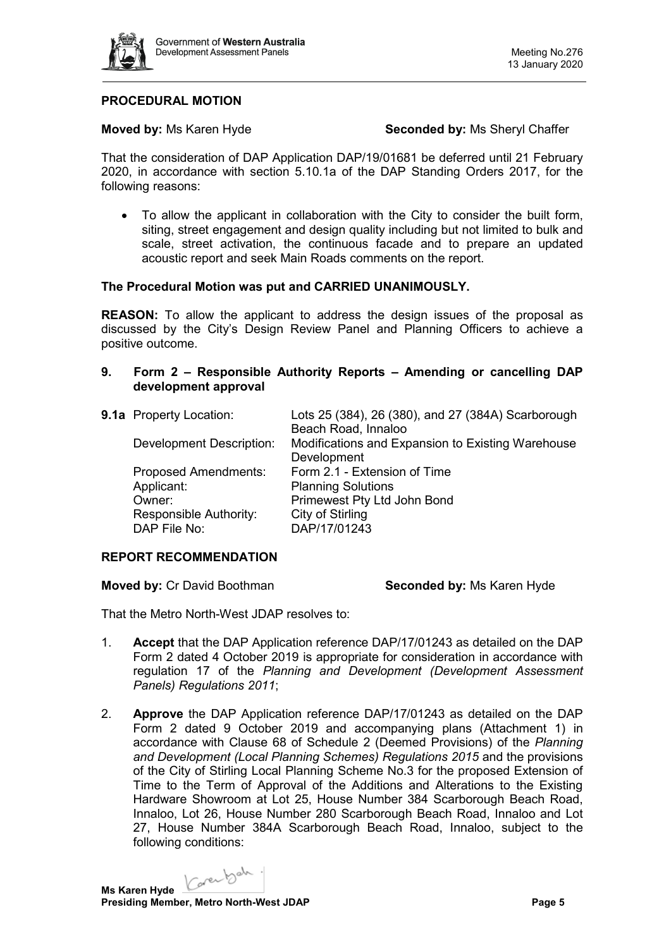

## **PROCEDURAL MOTION**

**Moved by:** Ms Karen Hyde **Seconded by:** Ms Sheryl Chaffer

That the consideration of DAP Application DAP/19/01681 be deferred until 21 February 2020, in accordance with section 5.10.1a of the DAP Standing Orders 2017, for the following reasons:

• To allow the applicant in collaboration with the City to consider the built form, siting, street engagement and design quality including but not limited to bulk and scale, street activation, the continuous facade and to prepare an updated acoustic report and seek Main Roads comments on the report.

#### **The Procedural Motion was put and CARRIED UNANIMOUSLY.**

**REASON:** To allow the applicant to address the design issues of the proposal as discussed by the City's Design Review Panel and Planning Officers to achieve a positive outcome.

### **9. Form 2 – Responsible Authority Reports – Amending or cancelling DAP development approval**

| 9.1a Property Location:         | Lots 25 (384), 26 (380), and 27 (384A) Scarborough |
|---------------------------------|----------------------------------------------------|
|                                 | Beach Road, Innaloo                                |
| <b>Development Description:</b> | Modifications and Expansion to Existing Warehouse  |
|                                 | Development                                        |
| <b>Proposed Amendments:</b>     | Form 2.1 - Extension of Time                       |
| Applicant:                      | <b>Planning Solutions</b>                          |
| Owner:                          | Primewest Pty Ltd John Bond                        |
| Responsible Authority:          | City of Stirling                                   |
| DAP File No:                    | DAP/17/01243                                       |
|                                 |                                                    |

#### **REPORT RECOMMENDATION**

**Moved by:** Cr David Boothman **Seconded by:** Ms Karen Hyde

That the Metro North-West JDAP resolves to:

- 1. **Accept** that the DAP Application reference DAP/17/01243 as detailed on the DAP Form 2 dated 4 October 2019 is appropriate for consideration in accordance with regulation 17 of the *Planning and Development (Development Assessment Panels) Regulations 2011*;
- 2. **Approve** the DAP Application reference DAP/17/01243 as detailed on the DAP Form 2 dated 9 October 2019 and accompanying plans (Attachment 1) in accordance with Clause 68 of Schedule 2 (Deemed Provisions) of the *Planning and Development (Local Planning Schemes) Regulations 2015* and the provisions of the City of Stirling Local Planning Scheme No.3 for the proposed Extension of Time to the Term of Approval of the Additions and Alterations to the Existing Hardware Showroom at Lot 25, House Number 384 Scarborough Beach Road, Innaloo, Lot 26, House Number 280 Scarborough Beach Road, Innaloo and Lot 27, House Number 384A Scarborough Beach Road, Innaloo, subject to the following conditions:

Karenbah. **Ms Karen Hyde**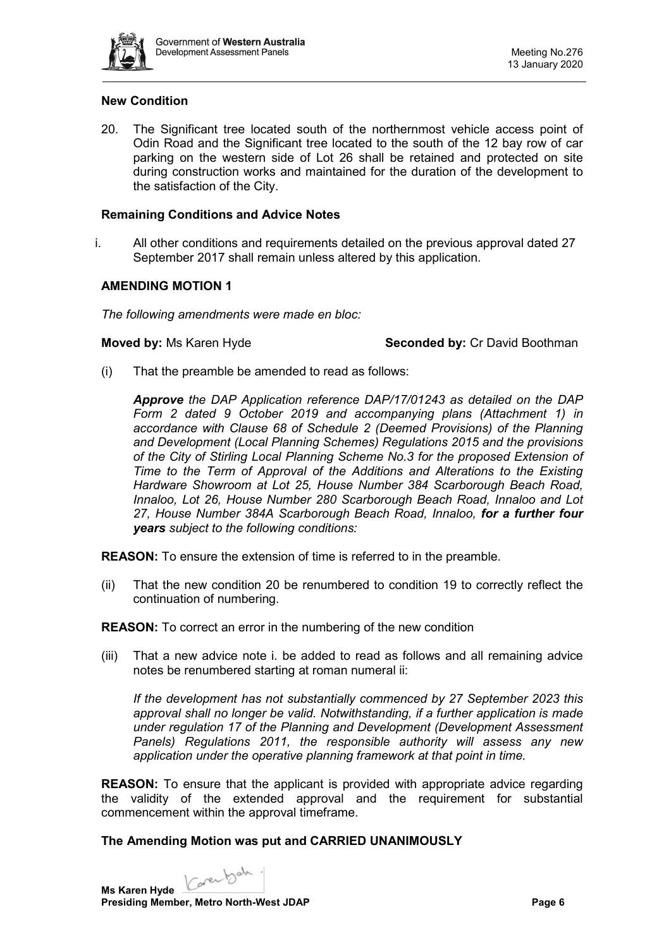

## **New Condition**

20. The Significant tree located south of the northernmost vehicle access point of Odin Road and the Significant tree located to the south of the 12 bay row of car parking on the western side of Lot 26 shall be retained and protected on site during construction works and maintained for the duration of the development to the satisfaction of the City.

### **Remaining Conditions and Advice Notes**

i. All other conditions and requirements detailed on the previous approval dated 27 September 2017 shall remain unless altered by this application.

## **AMENDING MOTION 1**

*The following amendments were made en bloc:*

#### **Moved by:** Ms Karen Hyde **Seconded by:** Cr David Boothman

(i) That the preamble be amended to read as follows:

*Approve the DAP Application reference DAP/17/01243 as detailed on the DAP Form 2 dated 9 October 2019 and accompanying plans (Attachment 1) in accordance with Clause 68 of Schedule 2 (Deemed Provisions) of the Planning and Development (Local Planning Schemes) Regulations 2015 and the provisions of the City of Stirling Local Planning Scheme No.3 for the proposed Extension of Time to the Term of Approval of the Additions and Alterations to the Existing Hardware Showroom at Lot 25, House Number 384 Scarborough Beach Road, Innaloo, Lot 26, House Number 280 Scarborough Beach Road, Innaloo and Lot 27, House Number 384A Scarborough Beach Road, Innaloo, for a further four years subject to the following conditions:*

**REASON:** To ensure the extension of time is referred to in the preamble.

(ii) That the new condition 20 be renumbered to condition 19 to correctly reflect the continuation of numbering.

**REASON:** To correct an error in the numbering of the new condition

(iii) That a new advice note i. be added to read as follows and all remaining advice notes be renumbered starting at roman numeral ii:

*If the development has not substantially commenced by 27 September 2023 this approval shall no longer be valid. Notwithstanding, if a further application is made under regulation 17 of the Planning and Development (Development Assessment Panels) Regulations 2011, the responsible authority will assess any new application under the operative planning framework at that point in time.* 

**REASON:** To ensure that the applicant is provided with appropriate advice regarding the validity of the extended approval and the requirement for substantial commencement within the approval timeframe.

## **The Amending Motion was put and CARRIED UNANIMOUSLY**

Karenbah. **Ms Karen Hyde**

**Presiding Member, Metro North-West JDAP Page 6 Page 6**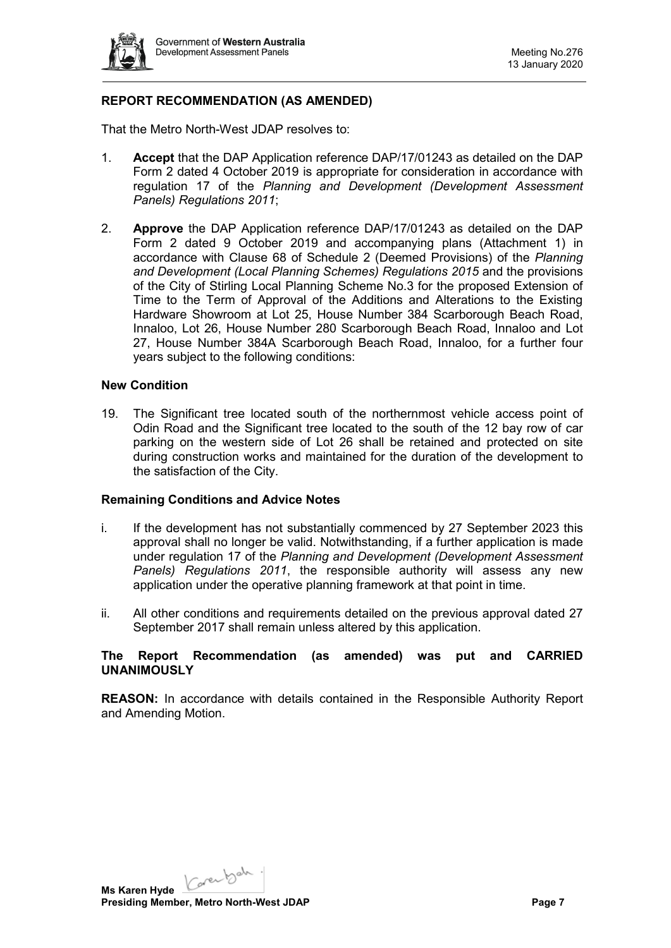

## **REPORT RECOMMENDATION (AS AMENDED)**

That the Metro North-West JDAP resolves to:

- 1. **Accept** that the DAP Application reference DAP/17/01243 as detailed on the DAP Form 2 dated 4 October 2019 is appropriate for consideration in accordance with regulation 17 of the *Planning and Development (Development Assessment Panels) Regulations 2011*;
- 2. **Approve** the DAP Application reference DAP/17/01243 as detailed on the DAP Form 2 dated 9 October 2019 and accompanying plans (Attachment 1) in accordance with Clause 68 of Schedule 2 (Deemed Provisions) of the *Planning and Development (Local Planning Schemes) Regulations 2015* and the provisions of the City of Stirling Local Planning Scheme No.3 for the proposed Extension of Time to the Term of Approval of the Additions and Alterations to the Existing Hardware Showroom at Lot 25, House Number 384 Scarborough Beach Road, Innaloo, Lot 26, House Number 280 Scarborough Beach Road, Innaloo and Lot 27, House Number 384A Scarborough Beach Road, Innaloo, for a further four years subject to the following conditions:

#### **New Condition**

19. The Significant tree located south of the northernmost vehicle access point of Odin Road and the Significant tree located to the south of the 12 bay row of car parking on the western side of Lot 26 shall be retained and protected on site during construction works and maintained for the duration of the development to the satisfaction of the City.

#### **Remaining Conditions and Advice Notes**

- i. If the development has not substantially commenced by 27 September 2023 this approval shall no longer be valid. Notwithstanding, if a further application is made under regulation 17 of the *Planning and Development (Development Assessment Panels) Regulations 2011*, the responsible authority will assess any new application under the operative planning framework at that point in time.
- ii. All other conditions and requirements detailed on the previous approval dated 27 September 2017 shall remain unless altered by this application.

#### **The Report Recommendation (as amended) was put and CARRIED UNANIMOUSLY**

**REASON:** In accordance with details contained in the Responsible Authority Report and Amending Motion.

Karenbah. **Ms Karen Hyde Presiding Member, Metro North-West JDAP Page 7 Page 7**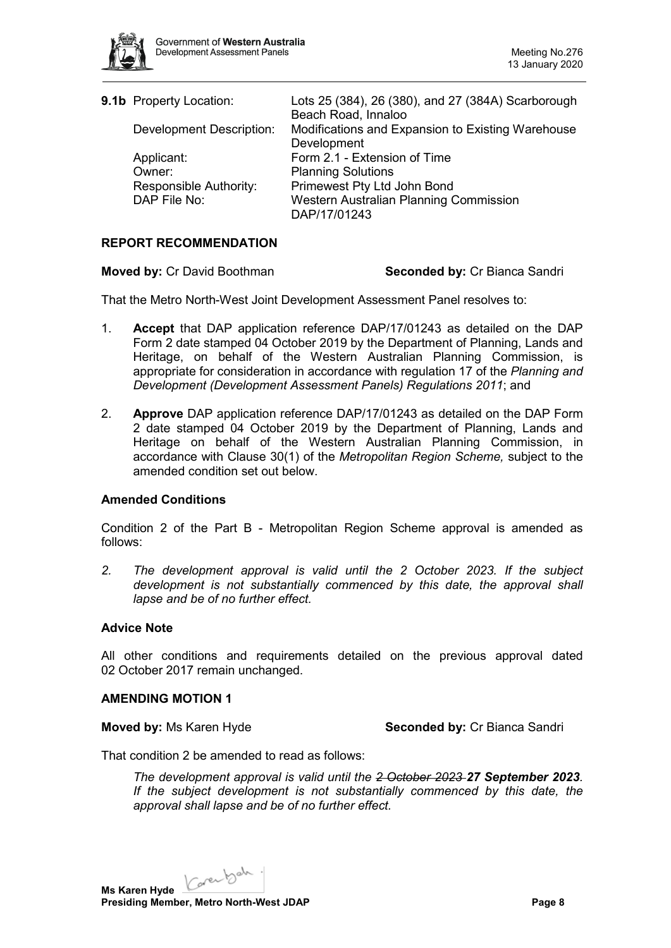

| 9.1b Property Location:         | Lots 25 (384), 26 (380), and 27 (384A) Scarborough<br>Beach Road, Innaloo |
|---------------------------------|---------------------------------------------------------------------------|
| <b>Development Description:</b> | Modifications and Expansion to Existing Warehouse                         |
|                                 | Development                                                               |
| Applicant:                      | Form 2.1 - Extension of Time                                              |
| Owner:                          | <b>Planning Solutions</b>                                                 |
| Responsible Authority:          | Primewest Pty Ltd John Bond                                               |
| DAP File No:                    | Western Australian Planning Commission                                    |
|                                 | DAP/17/01243                                                              |

## **REPORT RECOMMENDATION**

#### **Moved by:** Cr David Boothman **Seconded by:** Cr Bianca Sandri

That the Metro North-West Joint Development Assessment Panel resolves to:

- 1. **Accept** that DAP application reference DAP/17/01243 as detailed on the DAP Form 2 date stamped 04 October 2019 by the Department of Planning, Lands and Heritage, on behalf of the Western Australian Planning Commission, is appropriate for consideration in accordance with regulation 17 of the *Planning and Development (Development Assessment Panels) Regulations 2011*; and
- 2. **Approve** DAP application reference DAP/17/01243 as detailed on the DAP Form 2 date stamped 04 October 2019 by the Department of Planning, Lands and Heritage on behalf of the Western Australian Planning Commission, in accordance with Clause 30(1) of the *Metropolitan Region Scheme,* subject to the amended condition set out below.

#### **Amended Conditions**

Condition 2 of the Part B - Metropolitan Region Scheme approval is amended as follows:

*2. The development approval is valid until the 2 October 2023. If the subject development is not substantially commenced by this date, the approval shall lapse and be of no further effect.*

#### **Advice Note**

All other conditions and requirements detailed on the previous approval dated 02 October 2017 remain unchanged.

#### **AMENDING MOTION 1**

**Moved by: Ms Karen Hyde <b>Seconded by:** Cr Bianca Sandri

That condition 2 be amended to read as follows:

*The development approval is valid until the 2 October 2023 27 September 2023. If the subject development is not substantially commenced by this date, the approval shall lapse and be of no further effect.*

Ms Karen Hyde <u>Carenbald</u>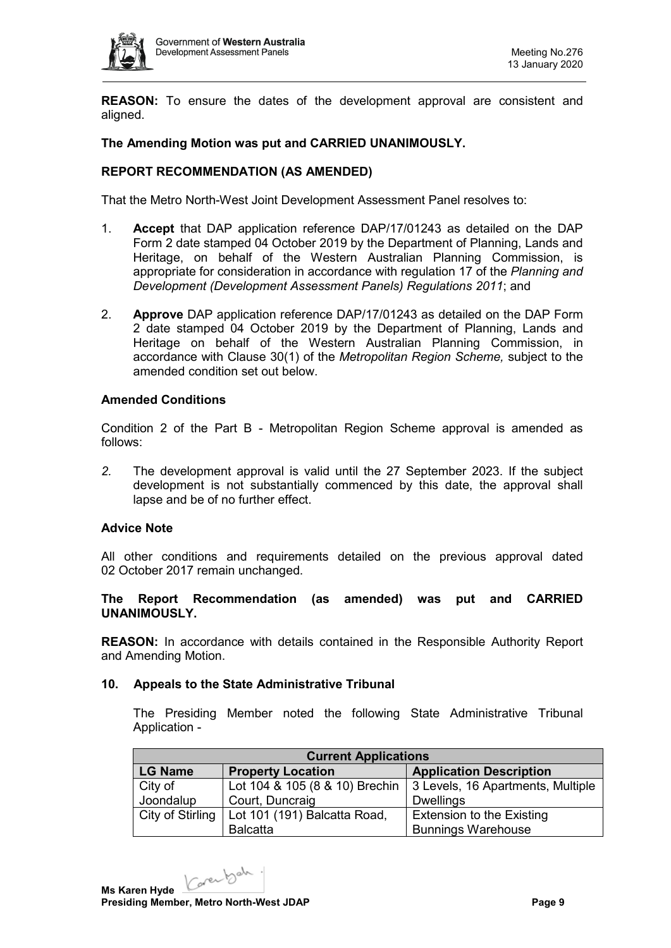

**REASON:** To ensure the dates of the development approval are consistent and aligned.

## **The Amending Motion was put and CARRIED UNANIMOUSLY.**

## **REPORT RECOMMENDATION (AS AMENDED)**

That the Metro North-West Joint Development Assessment Panel resolves to:

- 1. **Accept** that DAP application reference DAP/17/01243 as detailed on the DAP Form 2 date stamped 04 October 2019 by the Department of Planning, Lands and Heritage, on behalf of the Western Australian Planning Commission, is appropriate for consideration in accordance with regulation 17 of the *Planning and Development (Development Assessment Panels) Regulations 2011*; and
- 2. **Approve** DAP application reference DAP/17/01243 as detailed on the DAP Form 2 date stamped 04 October 2019 by the Department of Planning, Lands and Heritage on behalf of the Western Australian Planning Commission, in accordance with Clause 30(1) of the *Metropolitan Region Scheme,* subject to the amended condition set out below.

### **Amended Conditions**

Condition 2 of the Part B - Metropolitan Region Scheme approval is amended as follows:

*2.* The development approval is valid until the 27 September 2023. If the subject development is not substantially commenced by this date, the approval shall lapse and be of no further effect.

#### **Advice Note**

All other conditions and requirements detailed on the previous approval dated 02 October 2017 remain unchanged.

## **The Report Recommendation (as amended) was put and CARRIED UNANIMOUSLY.**

**REASON:** In accordance with details contained in the Responsible Authority Report and Amending Motion.

#### **10. Appeals to the State Administrative Tribunal**

The Presiding Member noted the following State Administrative Tribunal Application -

| <b>Current Applications</b> |                              |                                                                          |  |  |  |
|-----------------------------|------------------------------|--------------------------------------------------------------------------|--|--|--|
| <b>LG Name</b>              | <b>Property Location</b>     | <b>Application Description</b>                                           |  |  |  |
| City of                     |                              | Lot 104 & 105 (8 & 10) Brechin $\vert$ 3 Levels, 16 Apartments, Multiple |  |  |  |
| Joondalup                   | Court, Duncraig              | <b>Dwellings</b>                                                         |  |  |  |
| City of Stirling            | Lot 101 (191) Balcatta Road, | <b>Extension to the Existing</b>                                         |  |  |  |
|                             | <b>Balcatta</b>              | <b>Bunnings Warehouse</b>                                                |  |  |  |

Karenbah. **Ms Karen Hyde Presiding Member, Metro North-West JDAP Page 9**